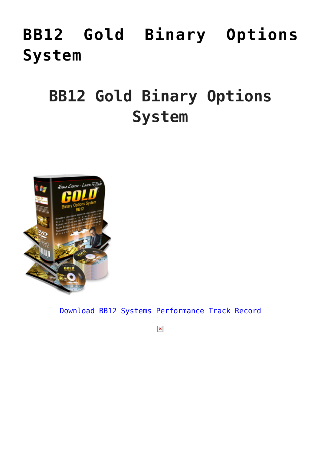# **[BB12 Gold Binary Options](https://binaryoptionsauthority.com/binary-options-authority/binary-option-systems/bb12-gold-binary-options-system/) [System](https://binaryoptionsauthority.com/binary-options-authority/binary-option-systems/bb12-gold-binary-options-system/)**

## **BB12 Gold Binary Options System**



[Download BB12 Systems Performance Track Record](https://binaryoptionsauthority.com/wp-content/uploads/2015/02/Gold-Binary-Options-System-BB12.pdf)

 $\pmb{\times}$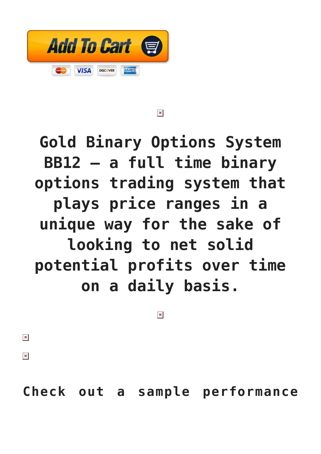

 $\pmb{\times}$ 

**Gold Binary Options System BB12 – a full time binary options trading system that plays price ranges in a unique way for the sake of looking to net solid potential profits over time on a daily basis.**

#### $\pmb{\times}$

 $\pmb{\times}$ 

 $\pmb{\times}$ 

**Check out a sample performance**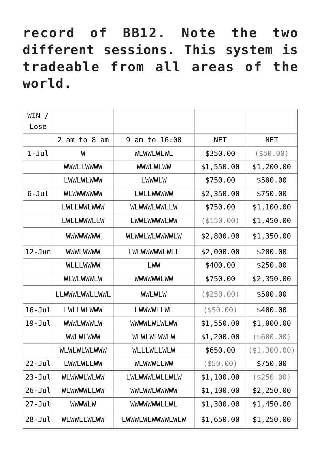## **record of BB12. Note the two different sessions. This system is tradeable from all areas of the world.**

| WIN /<br>Lose |                                  |                    |              |                |
|---------------|----------------------------------|--------------------|--------------|----------------|
|               | $am$ to $8$ am<br>$\overline{2}$ | am to 16:00<br>9   | <b>NET</b>   | <b>NET</b>     |
| $1 - J$ ul    | W                                | WLWWLWLWL          | \$350.00     | $($ \$50.00)   |
|               | <b>WWWLLWWWW</b>                 | <b>WWWLWLWW</b>    | \$1,550.00   | \$1,200.00     |
|               | <b>LWWLWLWWW</b>                 | <b>LWWWLW</b>      | \$750.00     | \$500.00       |
| $6 - Jul$     | <b>WLWWWWWW</b>                  | <b>LWLLWWWWW</b>   | \$2,350.00   | \$750.00       |
|               | <b>LWLLWWLWWW</b>                | WLWWWLWWLLW        | \$750.00     | \$1,100.00     |
|               | LWLLWWWLLW                       | LWWLWWWWLWW        | ( \$150.00)  | \$1,450.00     |
|               | <b>WWWWWW</b>                    | WLWWLWLWWWWLW      | \$2,800.00   | \$1,350.00     |
| $12 - Jun$    | <b>WWWLWWWW</b>                  | LWLWWWWLWLL        | \$2,000.00   | \$200.00       |
|               | <b>WLLLWWWW</b>                  | LWW                | \$400.00     | \$250.00       |
|               | WLWLWWWLW                        | <b>WWWWWLWW</b>    | \$750.00     | \$2,350.00     |
|               | LLWWWLWWLLWWL                    | <b>WWLWLW</b>      | ( \$250.00)  | \$500.00       |
| $16 - Jul$    | <b>LWLLWLWWW</b>                 | LWWWULLWL          | $($ \$50.00) | \$400.00       |
| $19 - Jul$    | <b>WWWLWWWLW</b>                 | <b>WWWWLWLWLWW</b> | \$1,550.00   | \$1,000.00     |
|               | <b>WWLWLWWW</b>                  | <b>WLWLWLWWLW</b>  | \$1,200.00   | $($ \$600.00)  |
|               | <b>WLWLWLWLWWW</b>               | WLLLWLLWLW         | \$650.00     | ( \$1, 300.00) |
| $22 - Ju$     | <b>LWWLWLLWW</b>                 | WLWWWLLWW          | $($ \$50.00) | \$750.00       |
| $23 - Jul$    | <b>WLWWWLWLWW</b>                | LWLWWWLWLLWLW      | \$1,100.00   | $($ \$250.00)  |
| $26 - Jul$    | <b>WLWWWWLLWW</b>                | <b>WWLWWLWWWW</b>  | \$1,100.00   | \$2,250.00     |
| $27 - Jul$    | <b>WWWWLW</b>                    | WWWWWWLLWL         | \$1,300.00   | \$1,450.00     |
| $28 - Jul$    | <b>WLWWLLWLWW</b>                | LWWWLWLWWWWLWLW    | \$1,650.00   | \$1,250.00     |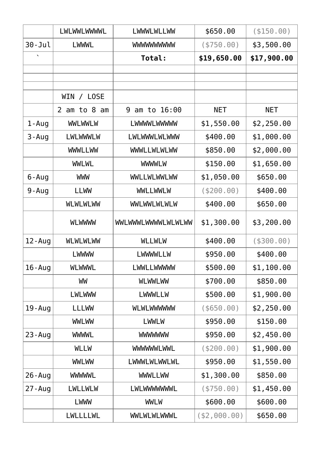|                          | LWLWWLWWWWL                      | <b>LWWWLWLLWW</b>  | \$650.00       | $($ \$150.00) |
|--------------------------|----------------------------------|--------------------|----------------|---------------|
| $30 - Jul$               | <b>LWWWL</b>                     | WWWWWWWW           | ( \$750.00)    | \$3,500.00    |
| $\overline{\phantom{0}}$ |                                  | Total:             | \$19,650.00    | \$17,900.00   |
|                          |                                  |                    |                |               |
|                          |                                  |                    |                |               |
|                          | <b>LOSE</b><br>WIN<br>$\sqrt{2}$ |                    |                |               |
|                          | 2 am to 8 am                     | am to 16:00<br>9   | <b>NET</b>     | <b>NET</b>    |
| 1-Aug                    | <b>WWLWWLW</b>                   | LWWWWLWWWW         | \$1,550.00     | \$2,250.00    |
| $3 - Aug$                | <b>LWLWWWLW</b>                  | LWLWWWLWLWWW       | \$400.00       | \$1,000.00    |
|                          | <b>WWWLLWW</b>                   | <b>WWWLLWLWLWW</b> | \$850.00       | \$2,000.00    |
|                          | <b>WWLWL</b>                     | <b>WWWLW</b>       | \$150.00       | \$1,650.00    |
| $6 - Aug$                | <b>WWW</b>                       | <b>WWLLWLWWLWW</b> | \$1,050.00     | \$650.00      |
| 9-Aug                    | <b>LLWW</b>                      | <b>WWLLWWLW</b>    | ( \$200.00)    | \$400.00      |
|                          | <b>WLWLWLWW</b>                  | WWLWWLWLWLW        | \$400.00       | \$650.00      |
|                          | <b>WLWWW</b>                     | WWLWWWLWWWLWLWLWW  | \$1,300.00     | \$3,200.00    |
| $12 - Aug$               | <b>WLWLWLWW</b>                  | <b>WLLWLW</b>      | \$400.00       | ( \$300.00)   |
|                          | LWWWW                            | LWWWWLLW           | \$950.00       | \$400.00      |
| $16 - Aug$               | <b>WLWWWL</b>                    | LWWLLWWWW          | \$500.00       | \$1,100.00    |
|                          | WW                               | <b>WLWWLWW</b>     | \$700.00       | \$850.00      |
|                          | <b>LWLWWW</b>                    | <b>LWWWLLW</b>     | \$500.00       | \$1,900.00    |
| 19 - Aug                 | LLLWW                            | <b>WLWLWWWWW</b>   | $($ \$650.00)  | \$2,250.00    |
|                          | <b>WWLWW</b>                     | <b>LWWLW</b>       | \$950.00       | \$150.00      |
| $23 - Aug$               | <b>WWWU</b>                      | <b>WWWWWW</b>      | \$950.00       | \$2,450.00    |
|                          | <b>WLLW</b>                      | WWWWWLWWL          | ( \$200.00)    | \$1,900.00    |
|                          | <b>WWLWW</b>                     | LWWWLWLWWLWL       | \$950.00       | \$1,550.00    |
| $26 - Aug$               | <b>WWWWL</b>                     | <b>WWWLLWW</b>     | \$1,300.00     | \$850.00      |
| 27 - Aug                 | <b>LWLLWLW</b>                   | LWLWWWWWWL         | $($ \$750.00)  | \$1,450.00    |
|                          | <b>LWWW</b>                      | <b>WWLW</b>        | \$600.00       | \$600.00      |
|                          | LWLLLLWL                         | WWLWLWLWWWL        | ( \$2, 000.00) | \$650.00      |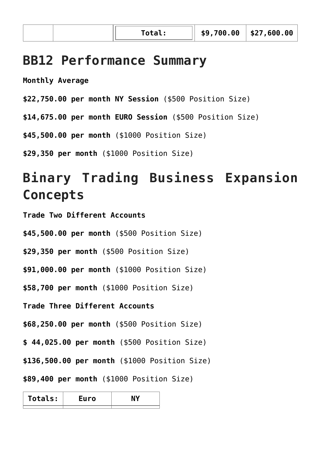#### **BB12 Performance Summary**

**Monthly Average**

**\$22,750.00 per month NY Session** (\$500 Position Size)

**\$14,675.00 per month EURO Session** (\$500 Position Size)

**\$45,500.00 per month** (\$1000 Position Size)

**\$29,350 per month** (\$1000 Position Size)

### **Binary Trading Business Expansion Concepts**

**Trade Two Different Accounts**

**\$45,500.00 per month** (\$500 Position Size)

**\$29,350 per month** (\$500 Position Size)

**\$91,000.00 per month** (\$1000 Position Size)

**\$58,700 per month** (\$1000 Position Size)

**Trade Three Different Accounts**

**\$68,250.00 per month** (\$500 Position Size)

**\$ 44,025.00 per month** (\$500 Position Size)

**\$136,500.00 per month** (\$1000 Position Size)

**\$89,400 per month** (\$1000 Position Size)

| <b>Totals:</b> |  |
|----------------|--|
|                |  |